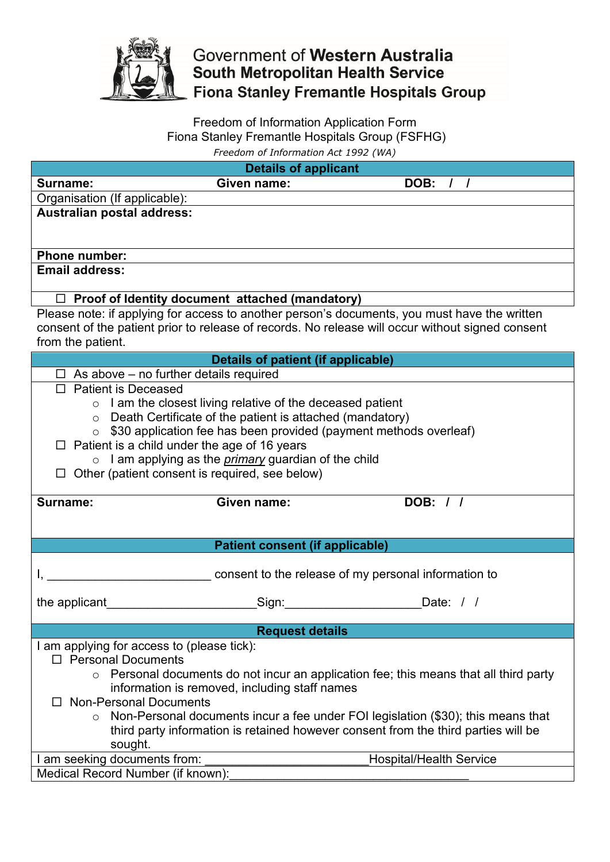

## Government of Western Australia South Metropolitan Health Service **Fiona Stanley Fremantle Hospitals Group**

## Freedom of Information Application Form Fiona Stanley Fremantle Hospitals Group (FSFHG) *Freedom of Information Act 1992 (WA)*

|                                                                                                  | <b>Details of applicant</b>                                 |                                                                           |  |  |
|--------------------------------------------------------------------------------------------------|-------------------------------------------------------------|---------------------------------------------------------------------------|--|--|
| Surname:                                                                                         | Given name:                                                 | DOB: / /                                                                  |  |  |
| Organisation (If applicable):                                                                    |                                                             |                                                                           |  |  |
| Australian postal address:                                                                       |                                                             |                                                                           |  |  |
|                                                                                                  |                                                             |                                                                           |  |  |
| <b>Phone number:</b>                                                                             |                                                             |                                                                           |  |  |
| <b>Email address:</b>                                                                            |                                                             |                                                                           |  |  |
| $\Box$ Proof of Identity document attached (mandatory)                                           |                                                             |                                                                           |  |  |
| Please note: if applying for access to another person's documents, you must have the written     |                                                             |                                                                           |  |  |
| consent of the patient prior to release of records. No release will occur without signed consent |                                                             |                                                                           |  |  |
| from the patient.                                                                                |                                                             |                                                                           |  |  |
| Details of patient (if applicable)                                                               |                                                             |                                                                           |  |  |
| $\Box$ As above – no further details required                                                    |                                                             |                                                                           |  |  |
| $\Box$ Patient is Deceased                                                                       |                                                             |                                                                           |  |  |
| $\circ$ I am the closest living relative of the deceased patient                                 |                                                             |                                                                           |  |  |
|                                                                                                  | ○ Death Certificate of the patient is attached (mandatory)  |                                                                           |  |  |
|                                                                                                  |                                                             | $\circ$ \$30 application fee has been provided (payment methods overleaf) |  |  |
| $\Box$ Patient is a child under the age of 16 years                                              |                                                             |                                                                           |  |  |
|                                                                                                  | o I am applying as the <i>primary</i> guardian of the child |                                                                           |  |  |
| $\Box$ Other (patient consent is required, see below)                                            |                                                             |                                                                           |  |  |
|                                                                                                  |                                                             |                                                                           |  |  |
| Surname:                                                                                         | Given name:                                                 | DOB: / /                                                                  |  |  |
|                                                                                                  |                                                             |                                                                           |  |  |
|                                                                                                  | <b>Patient consent (if applicable)</b>                      |                                                                           |  |  |
|                                                                                                  |                                                             |                                                                           |  |  |
|                                                                                                  |                                                             | consent to the release of my personal information to                      |  |  |
|                                                                                                  |                                                             |                                                                           |  |  |
| the applicant                                                                                    | Sign:                                                       | Date: $/ /$                                                               |  |  |
| <b>Request details</b>                                                                           |                                                             |                                                                           |  |  |
| I am applying for access to (please tick):                                                       |                                                             |                                                                           |  |  |
| □ Personal Documents                                                                             |                                                             |                                                                           |  |  |
| Personal documents do not incur an application fee; this means that all third party<br>$\circ$   |                                                             |                                                                           |  |  |
| information is removed, including staff names                                                    |                                                             |                                                                           |  |  |
| □ Non-Personal Documents                                                                         |                                                             |                                                                           |  |  |
| $\circ$ Non-Personal documents incur a fee under FOI legislation (\$30); this means that         |                                                             |                                                                           |  |  |
| third party information is retained however consent from the third parties will be               |                                                             |                                                                           |  |  |
| sought.                                                                                          |                                                             |                                                                           |  |  |
| I am seeking documents from:                                                                     |                                                             | <b>Hospital/Health Service</b>                                            |  |  |
| Medical Record Number (if known):                                                                |                                                             |                                                                           |  |  |